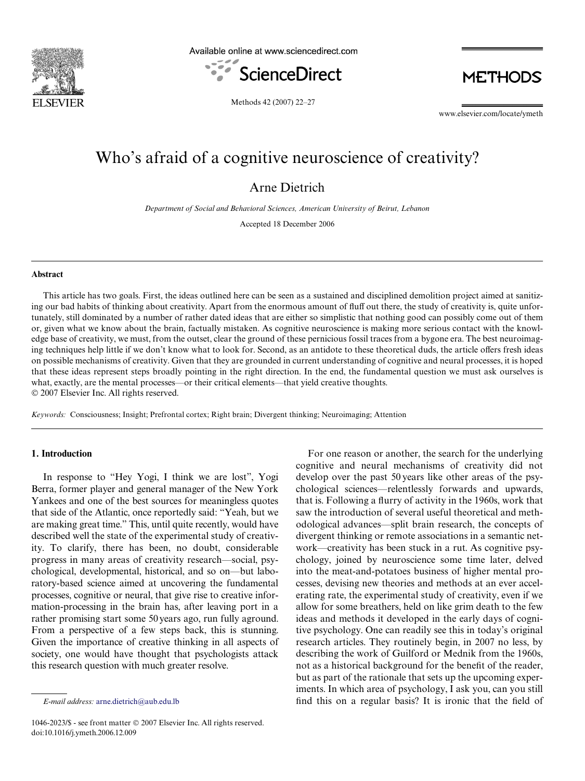

Available online at www.sciencedirect.com



**METHODS** 

Methods 42 (2007) 22–27

www.elsevier.com/locate/ymeth

# Who's afraid of a cognitive neuroscience of creativity?

Arne Dietrich

*Department of Social and Behavioral Sciences, American University of Beirut, Lebanon*

Accepted 18 December 2006

#### **Abstract**

This article has two goals. First, the ideas outlined here can be seen as a sustained and disciplined demolition project aimed at sanitizing our bad habits of thinking about creativity. Apart from the enormous amount of fluff out there, the study of creativity is, quite unfortunately, still dominated by a number of rather dated ideas that are either so simplistic that nothing good can possibly come out of them or, given what we know about the brain, factually mistaken. As cognitive neuroscience is making more serious contact with the knowledge base of creativity, we must, from the outset, clear the ground of these pernicious fossil traces from a bygone era. The best neuroimaging techniques help little if we don't know what to look for. Second, as an antidote to these theoretical duds, the article offers fresh ideas on possible mechanisms of creativity. Given that they are grounded in current understanding of cognitive and neural processes, it is hoped that these ideas represent steps broadly pointing in the right direction. In the end, the fundamental question we must ask ourselves is what, exactly, are the mental processes—or their critical elements—that yield creative thoughts. © 2007 Elsevier Inc. All rights reserved.

*Keywords:* Consciousness; Insight; Prefrontal cortex; Right brain; Divergent thinking; Neuroimaging; Attention

## **1. Introduction**

In response to "Hey Yogi, I think we are lost", Yogi Berra, former player and general manager of the New York Yankees and one of the best sources for meaningless quotes that side of the Atlantic, once reportedly said: "Yeah, but we are making great time." This, until quite recently, would have described well the state of the experimental study of creativity. To clarify, there has been, no doubt, considerable progress in many areas of creativity research—social, psychological, developmental, historical, and so on—but laboratory-based science aimed at uncovering the fundamental processes, cognitive or neural, that give rise to creative information-processing in the brain has, after leaving port in a rather promising start some 50years ago, run fully aground. From a perspective of a few steps back, this is stunning. Given the importance of creative thinking in all aspects of society, one would have thought that psychologists attack this research question with much greater resolve.

For one reason or another, the search for the underlying cognitive and neural mechanisms of creativity did not develop over the past 50 years like other areas of the psychological sciences—relentlessly forwards and upwards, that is. Following a flurry of activity in the 1960s, work that saw the introduction of several useful theoretical and methodological advances—split brain research, the concepts of divergent thinking or remote associations in a semantic network—creativity has been stuck in a rut. As cognitive psychology, joined by neuroscience some time later, delved into the meat-and-potatoes business of higher mental processes, devising new theories and methods at an ever accelerating rate, the experimental study of creativity, even if we allow for some breathers, held on like grim death to the few ideas and methods it developed in the early days of cognitive psychology. One can readily see this in today's original research articles. They routinely begin, in 2007 no less, by describing the work of Guilford or Mednik from the 1960s, not as a historical background for the benefit of the reader, but as part of the rationale that sets up the upcoming experiments. In which area of psychology, I ask you, can you still *E-mail address:* [arne.dietrich@aub.edu.lb](mailto: arne.dietrich@aub.edu.lb) find this on a regular basis? It is ironic that the field of

<sup>1046-2023/\$ -</sup> see front matter © 2007 Elsevier Inc. All rights reserved. doi:10.1016/j.ymeth.2006.12.009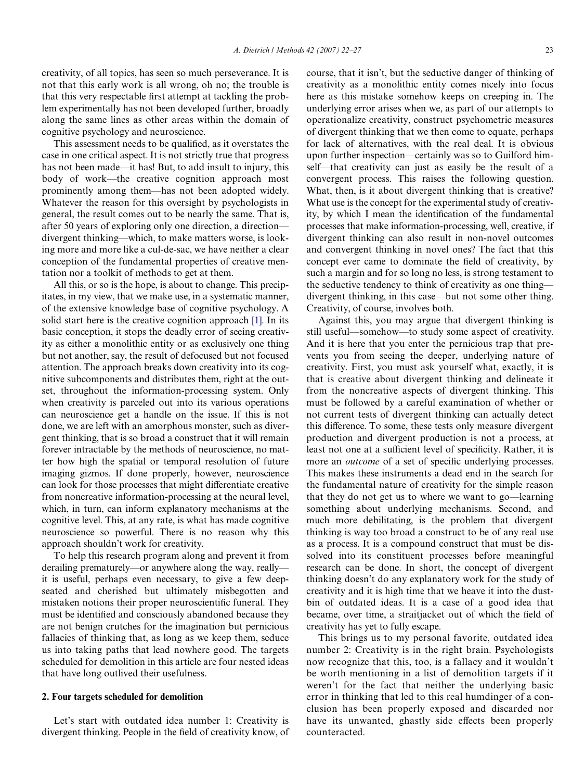creativity, of all topics, has seen so much perseverance. It is not that this early work is all wrong, oh no; the trouble is that this very respectable first attempt at tackling the problem experimentally has not been developed further, broadly along the same lines as other areas within the domain of cognitive psychology and neuroscience.

This assessment needs to be qualified, as it overstates the case in one critical aspect. It is not strictly true that progress has not been made—it has! But, to add insult to injury, this body of work—the creative cognition approach most prominently among them—has not been adopted widely. Whatever the reason for this oversight by psychologists in general, the result comes out to be nearly the same. That is, after 50 years of exploring only one direction, a direction divergent thinking—which, to make matters worse, is looking more and more like a cul-de-sac, we have neither a clear conception of the fundamental properties of creative mentation nor a toolkit of methods to get at them.

All this, or so is the hope, is about to change. This precipitates, in my view, that we make use, in a systematic manner, of the extensive knowledge base of cognitive psychology. A solid start here is the creative cognition approach [\[1\].](#page-5-0) In its basic conception, it stops the deadly error of seeing creativity as either a monolithic entity or as exclusively one thing but not another, say, the result of defocused but not focused attention. The approach breaks down creativity into its cognitive subcomponents and distributes them, right at the outset, throughout the information-processing system. Only when creativity is parceled out into its various operations can neuroscience get a handle on the issue. If this is not done, we are left with an amorphous monster, such as divergent thinking, that is so broad a construct that it will remain forever intractable by the methods of neuroscience, no matter how high the spatial or temporal resolution of future imaging gizmos. If done properly, however, neuroscience can look for those processes that might differentiate creative from noncreative information-processing at the neural level, which, in turn, can inform explanatory mechanisms at the cognitive level. This, at any rate, is what has made cognitive neuroscience so powerful. There is no reason why this approach shouldn't work for creativity.

To help this research program along and prevent it from derailing prematurely—or anywhere along the way, really it is useful, perhaps even necessary, to give a few deepseated and cherished but ultimately misbegotten and mistaken notions their proper neuroscientific funeral. They must be identified and consciously abandoned because they are not benign crutches for the imagination but pernicious fallacies of thinking that, as long as we keep them, seduce us into taking paths that lead nowhere good. The targets scheduled for demolition in this article are four nested ideas that have long outlived their usefulness.

### **2. Four targets scheduled for demolition**

Let's start with outdated idea number 1: Creativity is divergent thinking. People in the field of creativity know, of course, that it isn't, but the seductive danger of thinking of creativity as a monolithic entity comes nicely into focus here as this mistake somehow keeps on creeping in. The underlying error arises when we, as part of our attempts to operationalize creativity, construct psychometric measures of divergent thinking that we then come to equate, perhaps for lack of alternatives, with the real deal. It is obvious upon further inspection—certainly was so to Guilford himself—that creativity can just as easily be the result of a convergent process. This raises the following question. What, then, is it about divergent thinking that is creative? What use is the concept for the experimental study of creativity, by which I mean the identification of the fundamental processes that make information-processing, well, creative, if divergent thinking can also result in non-novel outcomes and convergent thinking in novel ones? The fact that this concept ever came to dominate the field of creativity, by such a margin and for so long no less, is strong testament to the seductive tendency to think of creativity as one thing divergent thinking, in this case—but not some other thing. Creativity, of course, involves both.

Against this, you may argue that divergent thinking is still useful—somehow—to study some aspect of creativity. And it is here that you enter the pernicious trap that prevents you from seeing the deeper, underlying nature of creativity. First, you must ask yourself what, exactly, it is that is creative about divergent thinking and delineate it from the noncreative aspects of divergent thinking. This must be followed by a careful examination of whether or not current tests of divergent thinking can actually detect this difference. To some, these tests only measure divergent production and divergent production is not a process, at least not one at a sufficient level of specificity. Rather, it is more an *outcome* of a set of specific underlying processes. This makes these instruments a dead end in the search for the fundamental nature of creativity for the simple reason that they do not get us to where we want to go—learning something about underlying mechanisms. Second, and much more debilitating, is the problem that divergent thinking is way too broad a construct to be of any real use as a process. It is a compound construct that must be dissolved into its constituent processes before meaningful research can be done. In short, the concept of divergent thinking doesn't do any explanatory work for the study of creativity and it is high time that we heave it into the dustbin of outdated ideas. It is a case of a good idea that became, over time, a straitjacket out of which the field of creativity has yet to fully escape.

This brings us to my personal favorite, outdated idea number 2: Creativity is in the right brain. Psychologists now recognize that this, too, is a fallacy and it wouldn't be worth mentioning in a list of demolition targets if it weren't for the fact that neither the underlying basic error in thinking that led to this real humdinger of a conclusion has been properly exposed and discarded nor have its unwanted, ghastly side effects been properly counteracted.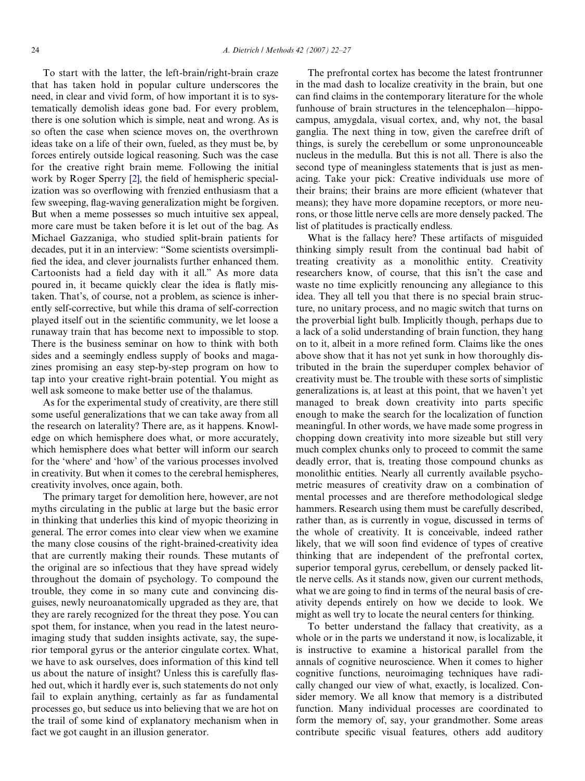To start with the latter, the left-brain/right-brain craze that has taken hold in popular culture underscores the need, in clear and vivid form, of how important it is to systematically demolish ideas gone bad. For every problem, there is one solution which is simple, neat and wrong. As is so often the case when science moves on, the overthrown ideas take on a life of their own, fueled, as they must be, by forces entirely outside logical reasoning. Such was the case for the creative right brain meme. Following the initial work by Roger Sperry [\[2\]](#page-5-1), the field of hemispheric specialization was so overflowing with frenzied enthusiasm that a few sweeping, flag-waving generalization might be forgiven. But when a meme possesses so much intuitive sex appeal, more care must be taken before it is let out of the bag. As Michael Gazzaniga, who studied split-brain patients for decades, put it in an interview: "Some scientists oversimplified the idea, and clever journalists further enhanced them. Cartoonists had a field day with it all." As more data poured in, it became quickly clear the idea is flatly mistaken. That's, of course, not a problem, as science is inherently self-corrective, but while this drama of self-correction played itself out in the scientific community, we let loose a runaway train that has become next to impossible to stop. There is the business seminar on how to think with both sides and a seemingly endless supply of books and magazines promising an easy step-by-step program on how to tap into your creative right-brain potential. You might as well ask someone to make better use of the thalamus.

As for the experimental study of creativity, are there still some useful generalizations that we can take away from all the research on laterality? There are, as it happens. Knowledge on which hemisphere does what, or more accurately, which hemisphere does what better will inform our search for the 'where' and 'how' of the various processes involved in creativity. But when it comes to the cerebral hemispheres, creativity involves, once again, both.

The primary target for demolition here, however, are not myths circulating in the public at large but the basic error in thinking that underlies this kind of myopic theorizing in general. The error comes into clear view when we examine the many close cousins of the right-brained-creativity idea that are currently making their rounds. These mutants of the original are so infectious that they have spread widely throughout the domain of psychology. To compound the trouble, they come in so many cute and convincing disguises, newly neuroanatomically upgraded as they are, that they are rarely recognized for the threat they pose. You can spot them, for instance, when you read in the latest neuroimaging study that sudden insights activate, say, the superior temporal gyrus or the anterior cingulate cortex. What, we have to ask ourselves, does information of this kind tell us about the nature of insight? Unless this is carefully flashed out, which it hardly ever is, such statements do not only fail to explain anything, certainly as far as fundamental processes go, but seduce us into believing that we are hot on the trail of some kind of explanatory mechanism when in fact we got caught in an illusion generator.

The prefrontal cortex has become the latest frontrunner in the mad dash to localize creativity in the brain, but one can find claims in the contemporary literature for the whole funhouse of brain structures in the telencephalon—hippocampus, amygdala, visual cortex, and, why not, the basal ganglia. The next thing in tow, given the carefree drift of things, is surely the cerebellum or some unpronounceable nucleus in the medulla. But this is not all. There is also the second type of meaningless statements that is just as menacing. Take your pick: Creative individuals use more of their brains; their brains are more efficient (whatever that means); they have more dopamine receptors, or more neurons, or those little nerve cells are more densely packed. The list of platitudes is practically endless.

What is the fallacy here? These artifacts of misguided thinking simply result from the continual bad habit of treating creativity as a monolithic entity. Creativity researchers know, of course, that this isn't the case and waste no time explicitly renouncing any allegiance to this idea. They all tell you that there is no special brain structure, no unitary process, and no magic switch that turns on the proverbial light bulb. Implicitly though, perhaps due to a lack of a solid understanding of brain function, they hang on to it, albeit in a more refined form. Claims like the ones above show that it has not yet sunk in how thoroughly distributed in the brain the superduper complex behavior of creativity must be. The trouble with these sorts of simplistic generalizations is, at least at this point, that we haven't yet managed to break down creativity into parts specific enough to make the search for the localization of function meaningful. In other words, we have made some progress in chopping down creativity into more sizeable but still very much complex chunks only to proceed to commit the same deadly error, that is, treating those compound chunks as monolithic entities. Nearly all currently available psychometric measures of creativity draw on a combination of mental processes and are therefore methodological sledge hammers. Research using them must be carefully described, rather than, as is currently in vogue, discussed in terms of the whole of creativity. It is conceivable, indeed rather likely, that we will soon find evidence of types of creative thinking that are independent of the prefrontal cortex, superior temporal gyrus, cerebellum, or densely packed little nerve cells. As it stands now, given our current methods, what we are going to find in terms of the neural basis of creativity depends entirely on how we decide to look. We might as well try to locate the neural centers for thinking.

To better understand the fallacy that creativity, as a whole or in the parts we understand it now, is localizable, it is instructive to examine a historical parallel from the annals of cognitive neuroscience. When it comes to higher cognitive functions, neuroimaging techniques have radically changed our view of what, exactly, is localized. Consider memory. We all know that memory is a distributed function. Many individual processes are coordinated to form the memory of, say, your grandmother. Some areas contribute specific visual features, others add auditory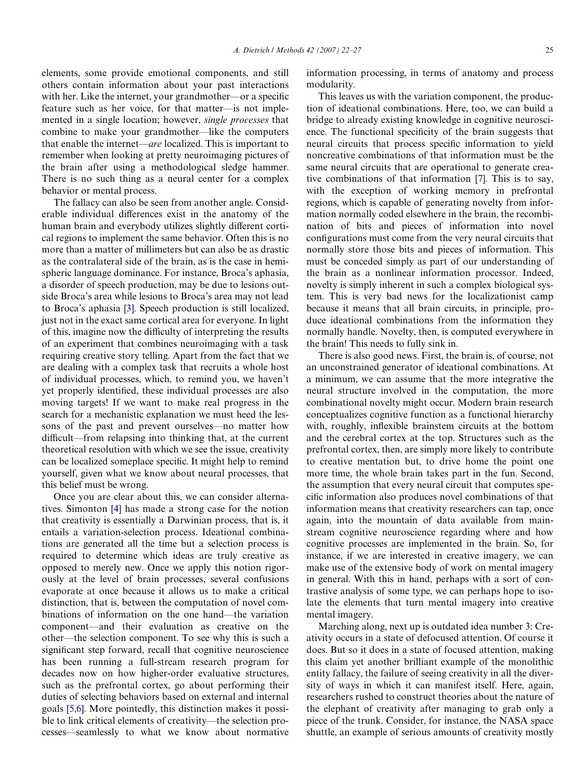elements, some provide emotional components, and still others contain information about your past interactions with her. Like the internet, your grandmother—or a specific feature such as her voice, for that matter—is not implemented in a single location; however, *single processes* that combine to make your grandmother—like the computers that enable the internet—*are* localized. This is important to remember when looking at pretty neuroimaging pictures of the brain after using a methodological sledge hammer. There is no such thing as a neural center for a complex behavior or mental process.

The fallacy can also be seen from another angle. Considerable individual differences exist in the anatomy of the human brain and everybody utilizes slightly different cortical regions to implement the same behavior. Often this is no more than a matter of millimeters but can also be as drastic as the contralateral side of the brain, as is the case in hemispheric language dominance. For instance, Broca's aphasia, a disorder of speech production, may be due to lesions outside Broca's area while lesions to Broca's area may not lead to Broca's aphasia [\[3\].](#page-5-2) Speech production is still localized, just not in the exact same cortical area for everyone. In light of this, imagine now the difficulty of interpreting the results of an experiment that combines neuroimaging with a task requiring creative story telling. Apart from the fact that we are dealing with a complex task that recruits a whole host of individual processes, which, to remind you, we haven't yet properly identified, these individual processes are also moving targets! If we want to make real progress in the search for a mechanistic explanation we must heed the lessons of the past and prevent ourselves—no matter how difficult—from relapsing into thinking that, at the current theoretical resolution with which we see the issue, creativity can be localized someplace specific. It might help to remind yourself, given what we know about neural processes, that this belief must be wrong.

Once you are clear about this, we can consider alternatives. Simonton [\[4\]](#page-5-3) has made a strong case for the notion that creativity is essentially a Darwinian process, that is, it entails a variation-selection process. Ideational combinations are generated all the time but a selection process is required to determine which ideas are truly creative as opposed to merely new. Once we apply this notion rigorously at the level of brain processes, several confusions evaporate at once because it allows us to make a critical distinction, that is, between the computation of novel combinations of information on the one hand—the variation component—and their evaluation as creative on the other—the selection component. To see why this is such a significant step forward, recall that cognitive neuroscience has been running a full-stream research program for decades now on how higher-order evaluative structures, such as the prefrontal cortex, go about performing their duties of selecting behaviors based on external and internal goals [\[5,6\]](#page-5-4). More pointedly, this distinction makes it possible to link critical elements of creativity—the selection processes—seamlessly to what we know about normative information processing, in terms of anatomy and process modularity.

This leaves us with the variation component, the production of ideational combinations. Here, too, we can build a bridge to already existing knowledge in cognitive neuroscience. The functional specificity of the brain suggests that neural circuits that process specific information to yield noncreative combinations of that information must be the same neural circuits that are operational to generate creative combinations of that information [\[7\]](#page-5-5). This is to say, with the exception of working memory in prefrontal regions, which is capable of generating novelty from information normally coded elsewhere in the brain, the recombination of bits and pieces of information into novel configurations must come from the very neural circuits that normally store those bits and pieces of information. This must be conceded simply as part of our understanding of the brain as a nonlinear information processor. Indeed, novelty is simply inherent in such a complex biological system. This is very bad news for the localizationist camp because it means that all brain circuits, in principle, produce ideational combinations from the information they normally handle. Novelty, then, is computed everywhere in the brain! This needs to fully sink in.

There is also good news. First, the brain is, of course, not an unconstrained generator of ideational combinations. At a minimum, we can assume that the more integrative the neural structure involved in the computation, the more combinational novelty might occur. Modern brain research conceptualizes cognitive function as a functional hierarchy with, roughly, inflexible brainstem circuits at the bottom and the cerebral cortex at the top. Structures such as the prefrontal cortex, then, are simply more likely to contribute to creative mentation but, to drive home the point one more time, the whole brain takes part in the fun. Second, the assumption that every neural circuit that computes specific information also produces novel combinations of that information means that creativity researchers can tap, once again, into the mountain of data available from mainstream cognitive neuroscience regarding where and how cognitive processes are implemented in the brain. So, for instance, if we are interested in creative imagery, we can make use of the extensive body of work on mental imagery in general. With this in hand, perhaps with a sort of contrastive analysis of some type, we can perhaps hope to isolate the elements that turn mental imagery into creative mental imagery.

Marching along, next up is outdated idea number 3: Creativity occurs in a state of defocused attention. Of course it does. But so it does in a state of focused attention, making this claim yet another brilliant example of the monolithic entity fallacy, the failure of seeing creativity in all the diversity of ways in which it can manifest itself. Here, again, researchers rushed to construct theories about the nature of the elephant of creativity after managing to grab only a piece of the trunk. Consider, for instance, the NASA space shuttle, an example of serious amounts of creativity mostly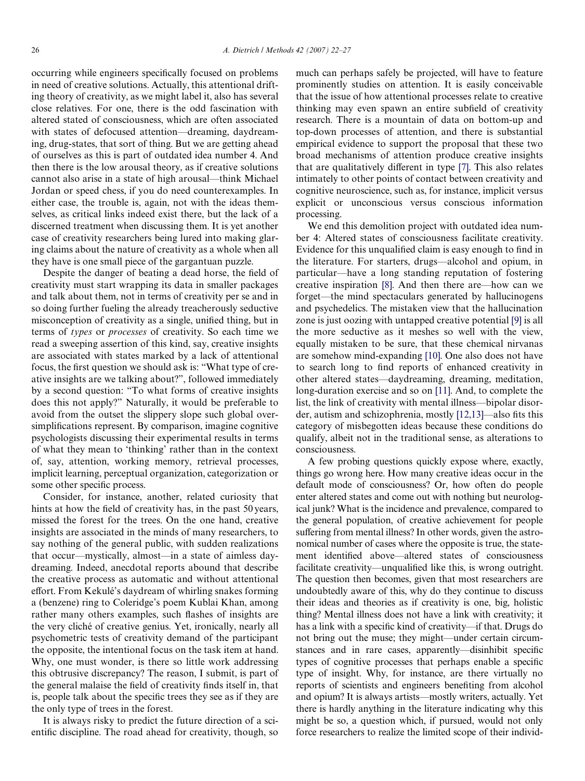occurring while engineers specifically focused on problems in need of creative solutions. Actually, this attentional drifting theory of creativity, as we might label it, also has several close relatives. For one, there is the odd fascination with altered stated of consciousness, which are often associated with states of defocused attention—dreaming, daydreaming, drug-states, that sort of thing. But we are getting ahead of ourselves as this is part of outdated idea number 4. And then there is the low arousal theory, as if creative solutions cannot also arise in a state of high arousal—think Michael Jordan or speed chess, if you do need counterexamples. In either case, the trouble is, again, not with the ideas themselves, as critical links indeed exist there, but the lack of a discerned treatment when discussing them. It is yet another case of creativity researchers being lured into making glaring claims about the nature of creativity as a whole when all they have is one small piece of the gargantuan puzzle.

Despite the danger of beating a dead horse, the field of creativity must start wrapping its data in smaller packages and talk about them, not in terms of creativity per se and in so doing further fueling the already treacherously seductive misconception of creativity as a single, unified thing, but in terms of *types* or *processes* of creativity. So each time we read a sweeping assertion of this kind, say, creative insights are associated with states marked by a lack of attentional focus, the first question we should ask is: "What type of creative insights are we talking about?", followed immediately by a second question: "To what forms of creative insights does this not apply?" Naturally, it would be preferable to avoid from the outset the slippery slope such global oversimplifications represent. By comparison, imagine cognitive psychologists discussing their experimental results in terms of what they mean to 'thinking' rather than in the context of, say, attention, working memory, retrieval processes, implicit learning, perceptual organization, categorization or some other specific process.

Consider, for instance, another, related curiosity that hints at how the field of creativity has, in the past 50 years, missed the forest for the trees. On the one hand, creative insights are associated in the minds of many researchers, to say nothing of the general public, with sudden realizations that occur—mystically, almost—in a state of aimless daydreaming. Indeed, anecdotal reports abound that describe the creative process as automatic and without attentional effort. From Kekulé's daydream of whirling snakes forming a (benzene) ring to Coleridge's poem Kublai Khan, among rather many others examples, such flashes of insights are the very cliché of creative genius. Yet, ironically, nearly all psychometric tests of creativity demand of the participant the opposite, the intentional focus on the task item at hand. Why, one must wonder, is there so little work addressing this obtrusive discrepancy? The reason, I submit, is part of the general malaise the field of creativity finds itself in, that is, people talk about the specific trees they see as if they are the only type of trees in the forest.

It is always risky to predict the future direction of a scientific discipline. The road ahead for creativity, though, so much can perhaps safely be projected, will have to feature prominently studies on attention. It is easily conceivable that the issue of how attentional processes relate to creative thinking may even spawn an entire subfield of creativity research. There is a mountain of data on bottom-up and top-down processes of attention, and there is substantial empirical evidence to support the proposal that these two broad mechanisms of attention produce creative insights that are qualitatively different in type [\[7\]](#page-5-5). This also relates intimately to other points of contact between creativity and cognitive neuroscience, such as, for instance, implicit versus explicit or unconscious versus conscious information processing.

We end this demolition project with outdated idea number 4: Altered states of consciousness facilitate creativity. Evidence for this unqualified claim is easy enough to find in the literature. For starters, drugs—alcohol and opium, in particular—have a long standing reputation of fostering creative inspiration [\[8\]](#page-5-6). And then there are—how can we forget—the mind spectaculars generated by hallucinogens and psychedelics. The mistaken view that the hallucination zone is just oozing with untapped creative potential [\[9\]](#page-5-7) is all the more seductive as it meshes so well with the view, equally mistaken to be sure, that these chemical nirvanas are somehow mind-expanding [\[10\]](#page-5-8). One also does not have to search long to find reports of enhanced creativity in other altered states—daydreaming, dreaming, meditation, long-duration exercise and so on [\[11\].](#page-5-9) And, to complete the list, the link of creativity with mental illness—bipolar disorder, autism and schizophrenia, mostly  $[12,13]$ —also fits this category of misbegotten ideas because these conditions do qualify, albeit not in the traditional sense, as alterations to consciousness.

A few probing questions quickly expose where, exactly, things go wrong here. How many creative ideas occur in the default mode of consciousness? Or, how often do people enter altered states and come out with nothing but neurological junk? What is the incidence and prevalence, compared to the general population, of creative achievement for people suffering from mental illness? In other words, given the astronomical number of cases where the opposite is true, the statement identified above—altered states of consciousness facilitate creativity—unqualified like this, is wrong outright. The question then becomes, given that most researchers are undoubtedly aware of this, why do they continue to discuss their ideas and theories as if creativity is one, big, holistic thing? Mental illness does not have a link with creativity; it has a link with a specific kind of creativity—if that. Drugs do not bring out the muse; they might—under certain circumstances and in rare cases, apparently—disinhibit specific types of cognitive processes that perhaps enable a specific type of insight. Why, for instance, are there virtually no reports of scientists and engineers benefiting from alcohol and opium? It is always artists—mostly writers, actually. Yet there is hardly anything in the literature indicating why this might be so, a question which, if pursued, would not only force researchers to realize the limited scope of their individ-